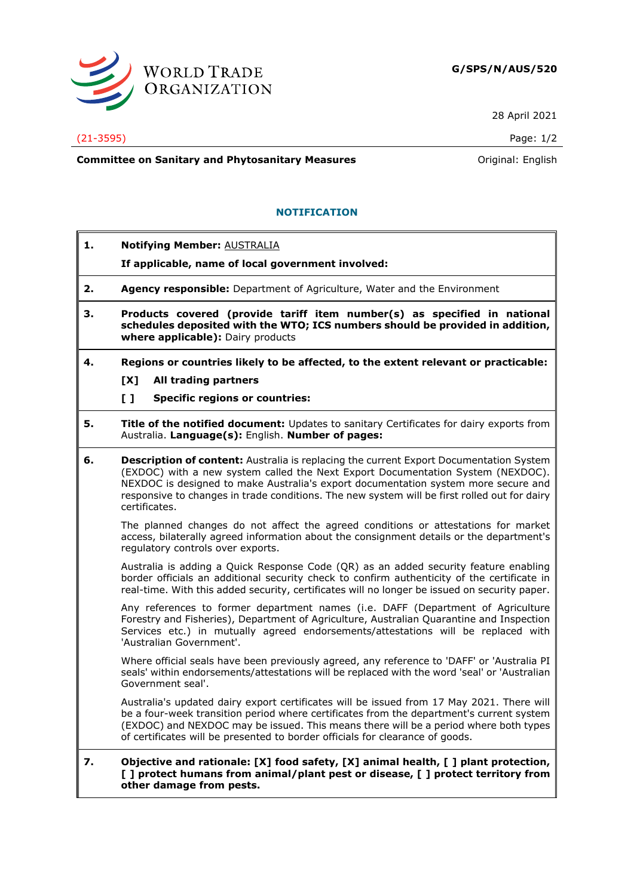

28 April 2021

## (21-3595) Page: 1/2

**Committee on Sanitary and Phytosanitary Measures Committee on Sanitary and Phytosanitary Measures Original: English** 

## **NOTIFICATION**

- **1. Notifying Member:** AUSTRALIA
	- **If applicable, name of local government involved:**
- **2. Agency responsible:** Department of Agriculture, Water and the Environment
- **3. Products covered (provide tariff item number(s) as specified in national schedules deposited with the WTO; ICS numbers should be provided in addition, where applicable):** Dairy products
- **4. Regions or countries likely to be affected, to the extent relevant or practicable:**
	- **[X] All trading partners**
	- **[ ] Specific regions or countries:**
- **5. Title of the notified document:** Updates to sanitary Certificates for dairy exports from Australia. **Language(s):** English. **Number of pages:**
- **6. Description of content:** Australia is replacing the current Export Documentation System (EXDOC) with a new system called the Next Export Documentation System (NEXDOC). NEXDOC is designed to make Australia's export documentation system more secure and responsive to changes in trade conditions. The new system will be first rolled out for dairy certificates.

The planned changes do not affect the agreed conditions or attestations for market access, bilaterally agreed information about the consignment details or the department's regulatory controls over exports.

Australia is adding a Quick Response Code (QR) as an added security feature enabling border officials an additional security check to confirm authenticity of the certificate in real-time. With this added security, certificates will no longer be issued on security paper.

Any references to former department names (i.e. DAFF (Department of Agriculture Forestry and Fisheries), Department of Agriculture, Australian Quarantine and Inspection Services etc.) in mutually agreed endorsements/attestations will be replaced with 'Australian Government'.

Where official seals have been previously agreed, any reference to 'DAFF' or 'Australia PI seals' within endorsements/attestations will be replaced with the word 'seal' or 'Australian Government seal'.

Australia's updated dairy export certificates will be issued from 17 May 2021. There will be a four-week transition period where certificates from the department's current system (EXDOC) and NEXDOC may be issued. This means there will be a period where both types of certificates will be presented to border officials for clearance of goods.

## **7. Objective and rationale: [X] food safety, [X] animal health, [ ] plant protection, [ ] protect humans from animal/plant pest or disease, [ ] protect territory from other damage from pests.**